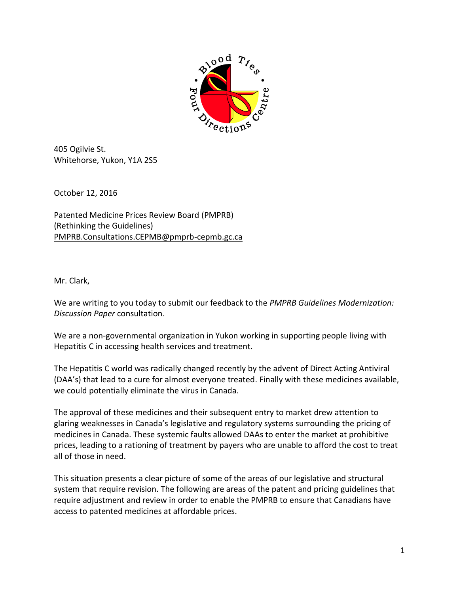

405 Ogilvie St. Whitehorse, Yukon, Y1A 2S5

October 12, 2016

Patented Medicine Prices Review Board (PMPRB) (Rethinking the Guidelines) [PMPRB.Consultations.CEPMB@pmprb-cepmb.gc.ca](mailto:PMPRB.Consultations.CEPMB@pmprb-cepmb.gc.ca)

Mr. Clark,

We are writing to you today to submit our feedback to the *PMPRB Guidelines Modernization: Discussion Paper* consultation.

We are a non-governmental organization in Yukon working in supporting people living with Hepatitis C in accessing health services and treatment.

The Hepatitis C world was radically changed recently by the advent of Direct Acting Antiviral (DAA's) that lead to a cure for almost everyone treated. Finally with these medicines available, we could potentially eliminate the virus in Canada.

The approval of these medicines and their subsequent entry to market drew attention to glaring weaknesses in Canada's legislative and regulatory systems surrounding the pricing of medicines in Canada. These systemic faults allowed DAAs to enter the market at prohibitive prices, leading to a rationing of treatment by payers who are unable to afford the cost to treat all of those in need.

This situation presents a clear picture of some of the areas of our legislative and structural system that require revision. The following are areas of the patent and pricing guidelines that require adjustment and review in order to enable the PMPRB to ensure that Canadians have access to patented medicines at affordable prices.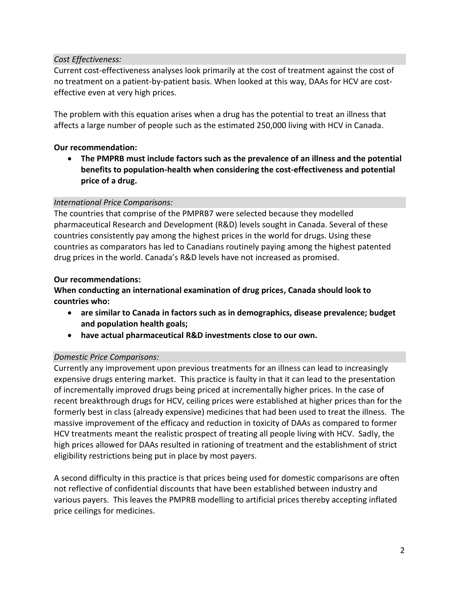# *Cost Effectiveness:*

Current cost-effectiveness analyses look primarily at the cost of treatment against the cost of no treatment on a patient-by-patient basis. When looked at this way, DAAs for HCV are costeffective even at very high prices.

The problem with this equation arises when a drug has the potential to treat an illness that affects a large number of people such as the estimated 250,000 living with HCV in Canada.

### **Our recommendation:**

 **The PMPRB must include factors such as the prevalence of an illness and the potential benefits to population-health when considering the cost-effectiveness and potential price of a drug.** 

#### *International Price Comparisons:*

The countries that comprise of the PMPRB7 were selected because they modelled pharmaceutical Research and Development (R&D) levels sought in Canada. Several of these countries consistently pay among the highest prices in the world for drugs. Using these countries as comparators has led to Canadians routinely paying among the highest patented drug prices in the world. Canada's R&D levels have not increased as promised.

#### **Our recommendations:**

## **When conducting an international examination of drug prices, Canada should look to countries who:**

- **are similar to Canada in factors such as in demographics, disease prevalence; budget and population health goals;**
- **have actual pharmaceutical R&D investments close to our own.**

#### *Domestic Price Comparisons:*

Currently any improvement upon previous treatments for an illness can lead to increasingly expensive drugs entering market. This practice is faulty in that it can lead to the presentation of incrementally improved drugs being priced at incrementally higher prices. In the case of recent breakthrough drugs for HCV, ceiling prices were established at higher prices than for the formerly best in class (already expensive) medicines that had been used to treat the illness. The massive improvement of the efficacy and reduction in toxicity of DAAs as compared to former HCV treatments meant the realistic prospect of treating all people living with HCV. Sadly, the high prices allowed for DAAs resulted in rationing of treatment and the establishment of strict eligibility restrictions being put in place by most payers.

A second difficulty in this practice is that prices being used for domestic comparisons are often not reflective of confidential discounts that have been established between industry and various payers. This leaves the PMPRB modelling to artificial prices thereby accepting inflated price ceilings for medicines.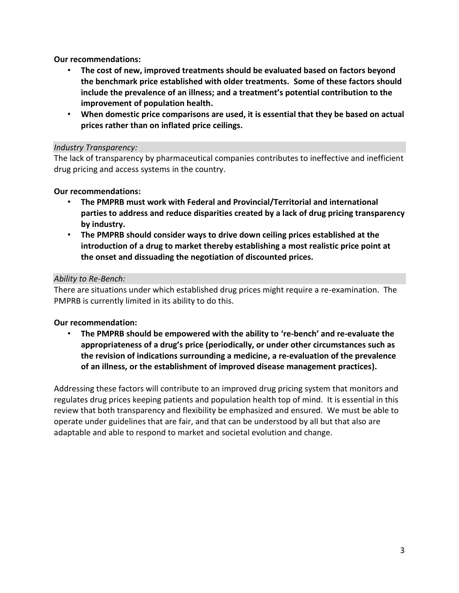**Our recommendations:**

- **The cost of new, improved treatments should be evaluated based on factors beyond the benchmark price established with older treatments. Some of these factors should include the prevalence of an illness; and a treatment's potential contribution to the improvement of population health.**
- **When domestic price comparisons are used, it is essential that they be based on actual prices rather than on inflated price ceilings.**

## *Industry Transparency:*

The lack of transparency by pharmaceutical companies contributes to ineffective and inefficient drug pricing and access systems in the country.

## **Our recommendations:**

- **The PMPRB must work with Federal and Provincial/Territorial and international parties to address and reduce disparities created by a lack of drug pricing transparency by industry.**
- **The PMPRB should consider ways to drive down ceiling prices established at the introduction of a drug to market thereby establishing a most realistic price point at the onset and dissuading the negotiation of discounted prices.**

## *Ability to Re-Bench:*

There are situations under which established drug prices might require a re-examination. The PMPRB is currently limited in its ability to do this.

# **Our recommendation:**

• **The PMPRB should be empowered with the ability to 're-bench' and re-evaluate the appropriateness of a drug's price (periodically, or under other circumstances such as the revision of indications surrounding a medicine, a re-evaluation of the prevalence of an illness, or the establishment of improved disease management practices).**

Addressing these factors will contribute to an improved drug pricing system that monitors and regulates drug prices keeping patients and population health top of mind. It is essential in this review that both transparency and flexibility be emphasized and ensured. We must be able to operate under guidelines that are fair, and that can be understood by all but that also are adaptable and able to respond to market and societal evolution and change.